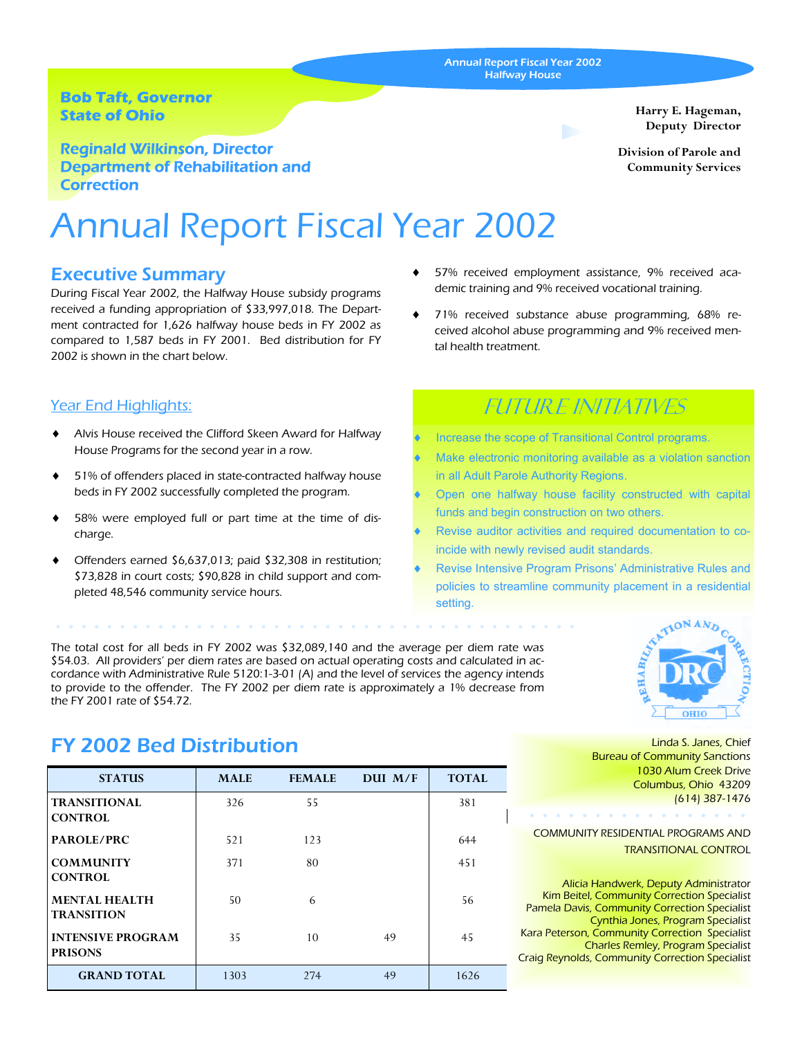Annual Report Fiscal Year 2002 Halfway House

### **Bob Taft, Governor State of Ohio**

Reginald Wilkinson, Director Department of Rehabilitation and **Correction** 

# Annual Report Fiscal Year 2002

### Executive Summary

During Fiscal Year 2002, the Halfway House subsidy programs received a funding appropriation of \$33,997,018. The Department contracted for 1,626 halfway house beds in FY 2002 as compared to 1,587 beds in FY 2001. Bed distribution for FY 2002 is shown in the chart below.

### Year End Highlights:

- Alvis House received the Clifford Skeen Award for Halfway House Programs for the second year in a row.
- 51% of offenders placed in state-contracted halfway house beds in FY 2002 successfully completed the program.
- 58% were employed full or part time at the time of discharge.
- Offenders earned  $$6,637,013$ ; paid  $$32,308$  in restitution; \$73,828 in court costs; \$90,828 in child support and completed 48,546 community service hours.

The total cost for all beds in FY 2002 was \$32,089,140 and the average per diem rate was \$54.03. All providers' per diem rates are based on actual operating costs and calculated in accordance with Administrative Rule 5120:1-3-01 (A) and the level of services the agency intends to provide to the offender. The FY 2002 per diem rate is approximately a 1% decrease from the FY 2001 rate of \$54.72.

**OHIO** 

Linda S. Janes, Chief Bureau of Community Sanctions 1030 Alum Creek Drive Columbus, Ohio 43209 (614) 387-1476

COMMUNITY RESIDENTIAL PROGRAMS AND TRANSITIONAL CONTROL

Alicia Handwerk, Deputy Administrator Kim Beitel, Community Correction Specialist Pamela Davis, Community Correction Specialist Cynthia Jones, Program Specialist Kara Peterson, Community Correction Specialist Charles Remley, Program Specialist Craig Reynolds, Community Correction Specialist

## FY 2002 Bed Distribution

| <b>STATUS</b>                              | <b>MALE</b> | <b>FEMALE</b> | DUI M/F | <b>TOTAL</b> |
|--------------------------------------------|-------------|---------------|---------|--------------|
| <b>TRANSITIONAL</b><br><b>CONTROL</b>      | 326         | 55            |         | 381          |
| PAROLE/PRC                                 | 521         | 123           |         | 644          |
| <b>COMMUNITY</b><br><b>CONTROL</b>         | 371         | 80            |         | 451          |
| <b>MENTAL HEALTH</b><br><b>TRANSITION</b>  | 50          | 6             |         | 56           |
| <b>INTENSIVE PROGRAM</b><br><b>PRISONS</b> | 35          | 10            | 49      | 45           |
| <b>GRAND TOTAL</b>                         | 1303        | 274           | 49      | 1626         |

#### 57% received employment assistance, 9% received academic training and 9% received vocational training.

71% received substance abuse programming, 68% received alcohol abuse programming and 9% received mental health treatment.

# Future Initiatives

- Increase the scope of Transitional Control programs.
- Make electronic monitoring available as a violation sanction in all Adult Parole Authority Regions.
- Open one halfway house facility constructed with capital funds and begin construction on two others.
- Revise auditor activities and required documentation to coincide with newly revised audit standards.
- Revise Intensive Program Prisons' Administrative Rules and policies to streamline community placement in a residential setting.



**Harry E. Hageman,**